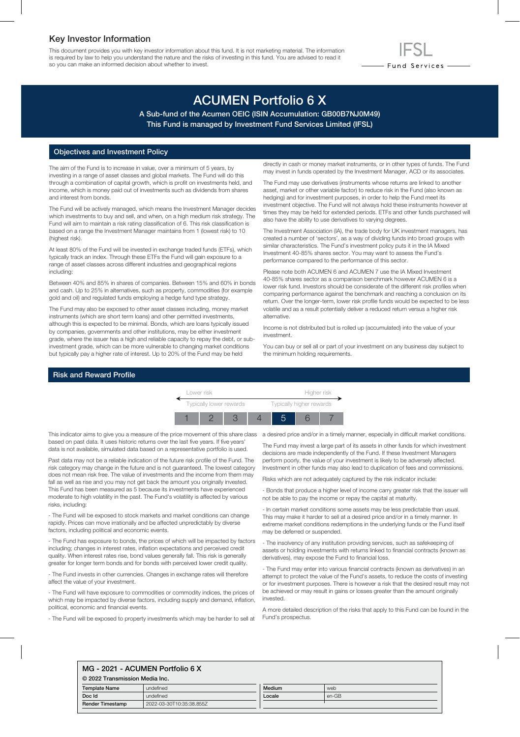### Key Investor Information

This document provides you with key investor information about this fund. It is not marketing material. The information is required by law to help you understand the nature and the risks of investing in this fund. You are advised to read it so you can make an informed decision about whether to invest.

# ACUMEN Portfolio 6 X

A Sub-fund of the Acumen OEIC (ISIN Accumulation: GB00B7NJ0M49) This Fund is managed by Investment Fund Services Limited (IFSL)

#### Objectives and Investment Policy

The aim of the Fund is to increase in value, over a minimum of 5 years, by investing in a range of asset classes and global markets. The Fund will do this through a combination of capital growth, which is profit on investments held, and income, which is money paid out of investments such as dividends from shares and interest from bonds.

The Fund will be actively managed, which means the Investment Manager decides which investments to buy and sell, and when, on a high medium risk strategy. The Fund will aim to maintain a risk rating classification of 6. This risk classification is based on a range the Investment Manager maintains from 1 (lowest risk) to 10 (highest risk).

At least 80% of the Fund will be invested in exchange traded funds (ETFs), which typically track an index. Through these ETFs the Fund will gain exposure to a range of asset classes across different industries and geographical regions including:

Between 40% and 85% in shares of companies. Between 15% and 60% in bonds and cash. Up to 25% in alternatives, such as property, commodities (for example gold and oil) and regulated funds employing a hedge fund type strategy.

The Fund may also be exposed to other asset classes including, money market instruments (which are short term loans) and other permitted investments, although this is expected to be minimal. Bonds, which are loans typically issued by companies, governments and other institutions, may be either investment grade, where the issuer has a high and reliable capacity to repay the debt, or subinvestment grade, which can be more vulnerable to changing market conditions but typically pay a higher rate of interest. Up to 20% of the Fund may be held

directly in cash or money market instruments, or in other types of funds. The Fund may invest in funds operated by the Investment Manager, ACD or its associates.

- Fund Services —

The Fund may use derivatives (instruments whose returns are linked to another asset, market or other variable factor) to reduce risk in the Fund (also known as hedging) and for investment purposes, in order to help the Fund meet its investment objective. The Fund will not always hold these instruments however at times they may be held for extended periods. ETFs and other funds purchased will also have the ability to use derivatives to varying degrees.

The Investment Association (IA), the trade body for UK investment managers, has created a number of 'sectors', as a way of dividing funds into broad groups with similar characteristics. The Fund's investment policy puts it in the IA Mixed Investment 40-85% shares sector. You may want to assess the Fund's performance compared to the performance of this sector.

Please note both ACUMEN 6 and ACUMEN 7 use the IA Mixed Investment 40-85% shares sector as a comparison benchmark however ACUMEN 6 is a lower risk fund. Investors should be considerate of the different risk profiles when comparing performance against the benchmark and reaching a conclusion on its return. Over the longer-term, lower risk profile funds would be expected to be less volatile and as a result potentially deliver a reduced return versus a higher risk alternative.

Income is not distributed but is rolled up (accumulated) into the value of your investment.

You can buy or sell all or part of your investment on any business day subject to the minimum holding requirements.

#### Risk and Reward Profile



This indicator aims to give you a measure of the price movement of this share class a desired price and/or in a timely manner, especially in difficult market conditions. based on past data. It uses historic returns over the last five years. If five years' data is not available, simulated data based on a representative portfolio is used.

Past data may not be a reliable indication of the future risk profile of the Fund. The risk category may change in the future and is not guaranteed. The lowest category does not mean risk free. The value of investments and the income from them may fall as well as rise and you may not get back the amount you originally invested. This Fund has been measured as 5 because its investments have experienced moderate to high volatility in the past. The Fund's volatility is affected by various risks, including:

- The Fund will be exposed to stock markets and market conditions can change rapidly. Prices can move irrationally and be affected unpredictably by diverse factors, including political and economic events.

- The Fund has exposure to bonds, the prices of which will be impacted by factors including; changes in interest rates, inflation expectations and perceived credit quality. When interest rates rise, bond values generally fall. This risk is generally greater for longer term bonds and for bonds with perceived lower credit quality.

- The Fund invests in other currencies. Changes in exchange rates will therefore affect the value of your investment.

- The Fund will have exposure to commodities or commodity indices, the prices of which may be impacted by diverse factors, including supply and demand, inflation, political, economic and financial events.

- The Fund will be exposed to property investments which may be harder to sell at

The Fund may invest a large part of its assets in other funds for which investment decisions are made independently of the Fund. If these Investment Managers perform poorly, the value of your investment is likely to be adversely affected. Investment in other funds may also lead to duplication of fees and commissions.

Risks which are not adequately captured by the risk indicator include:

- Bonds that produce a higher level of income carry greater risk that the issuer will not be able to pay the income or repay the capital at maturity.

- In certain market conditions some assets may be less predictable than usual. This may make it harder to sell at a desired price and/or in a timely manner. In extreme market conditions redemptions in the underlying funds or the Fund itself may be deferred or suspended.

- The insolvency of any institution providing services, such as safekeeping of assets or holding investments with returns linked to financial contracts (known as derivatives), may expose the Fund to financial loss.

- The Fund may enter into various financial contracts (known as derivatives) in an attempt to protect the value of the Fund's assets, to reduce the costs of investing or for investment purposes. There is however a risk that the desired result may not be achieved or may result in gains or losses greater than the amount originally invested.

A more detailed description of the risks that apply to this Fund can be found in the Fund's prospectus.